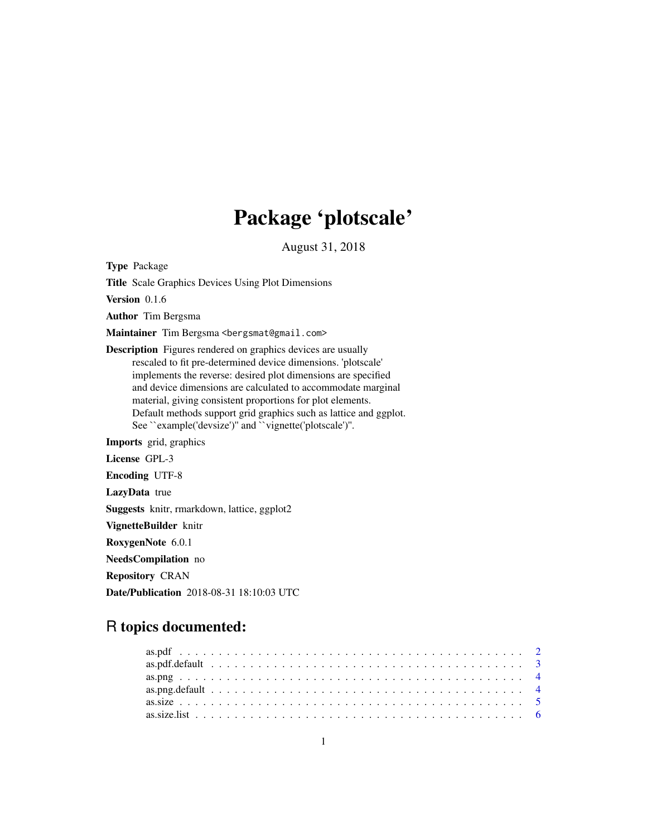# Package 'plotscale'

August 31, 2018

<span id="page-0-0"></span>Type Package Title Scale Graphics Devices Using Plot Dimensions Version 0.1.6 Author Tim Bergsma Maintainer Tim Bergsma <br/>bergsmat@gmail.com> Description Figures rendered on graphics devices are usually rescaled to fit pre-determined device dimensions. 'plotscale' implements the reverse: desired plot dimensions are specified and device dimensions are calculated to accommodate marginal material, giving consistent proportions for plot elements. Default methods support grid graphics such as lattice and ggplot. See ``example('devsize')'' and ``vignette('plotscale')''. Imports grid, graphics License GPL-3 Encoding UTF-8 LazyData true Suggests knitr, rmarkdown, lattice, ggplot2 VignetteBuilder knitr RoxygenNote 6.0.1 NeedsCompilation no Repository CRAN

# R topics documented:

Date/Publication 2018-08-31 18:10:03 UTC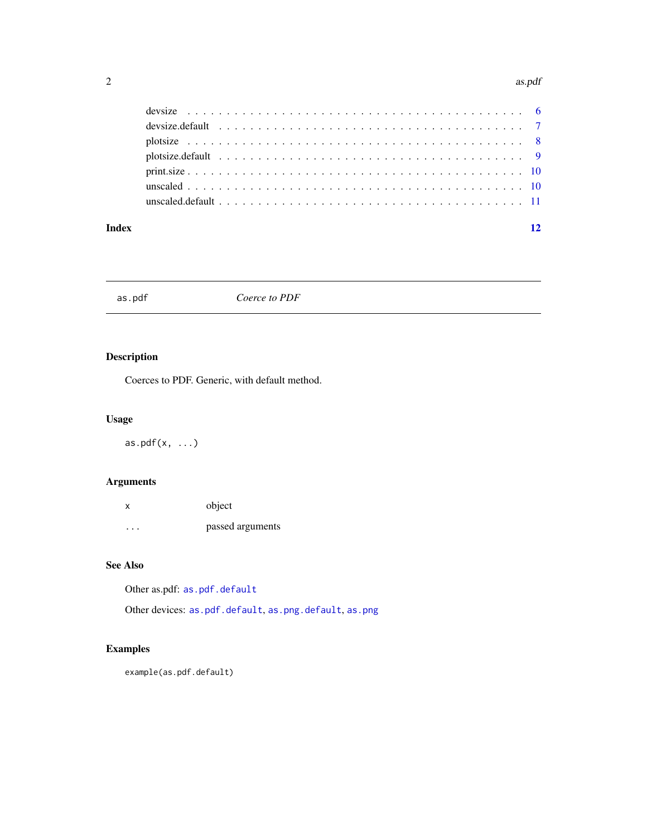#### <span id="page-1-0"></span>2 as.pdf

| devsize.default $\ldots \ldots \ldots \ldots \ldots \ldots \ldots \ldots \ldots \ldots \ldots \ldots \ldots$ |  |
|--------------------------------------------------------------------------------------------------------------|--|
|                                                                                                              |  |
|                                                                                                              |  |
|                                                                                                              |  |
|                                                                                                              |  |
|                                                                                                              |  |
|                                                                                                              |  |

#### **Index** [12](#page-11-0)

<span id="page-1-1"></span>as.pdf *Coerce to PDF*

# Description

Coerces to PDF. Generic, with default method.

# Usage

as.pdf $(x, \ldots)$ 

# Arguments

| X        | object           |
|----------|------------------|
| $\cdots$ | passed arguments |

# See Also

Other as.pdf: [as.pdf.default](#page-2-1)

Other devices: [as.pdf.default](#page-2-1), [as.png.default](#page-3-1), [as.png](#page-3-2)

# Examples

example(as.pdf.default)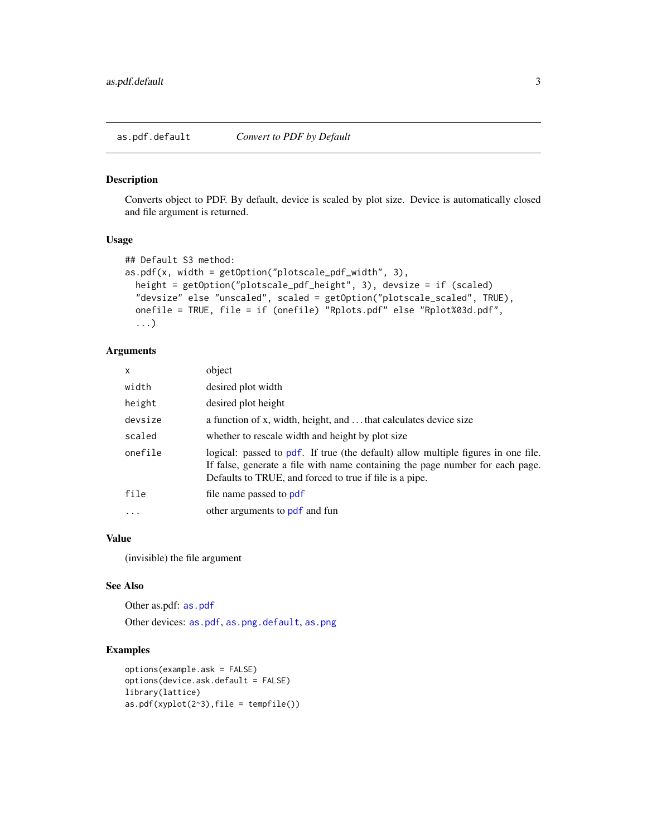# <span id="page-2-1"></span><span id="page-2-0"></span>Description

Converts object to PDF. By default, device is scaled by plot size. Device is automatically closed and file argument is returned.

#### Usage

```
## Default S3 method:
as.pdf(x, width = getOption("plotscale.pdf_width", 3),
  height = getOption("plotscale_pdf_height", 3), devsize = if (scaled)
  "devsize" else "unscaled", scaled = getOption("plotscale_scaled", TRUE),
 onefile = TRUE, file = if (onefile) "Rplots.pdf" else "Rplot%03d.pdf",
  ...)
```
#### Arguments

| object                                                                                                                                                                                                                        |
|-------------------------------------------------------------------------------------------------------------------------------------------------------------------------------------------------------------------------------|
| desired plot width                                                                                                                                                                                                            |
| desired plot height                                                                                                                                                                                                           |
| a function of x, width, height, and  that calculates device size                                                                                                                                                              |
| whether to rescale width and height by plot size                                                                                                                                                                              |
| logical: passed to pdf. If true (the default) allow multiple figures in one file.<br>If false, generate a file with name containing the page number for each page.<br>Defaults to TRUE, and forced to true if file is a pipe. |
| file name passed to pdf                                                                                                                                                                                                       |
| other arguments to pdf and fun                                                                                                                                                                                                |
|                                                                                                                                                                                                                               |

#### Value

(invisible) the file argument

## See Also

Other as.pdf: [as.pdf](#page-1-1) Other devices: [as.pdf](#page-1-1), [as.png.default](#page-3-1), [as.png](#page-3-2)

### Examples

```
options(example.ask = FALSE)
options(device.ask.default = FALSE)
library(lattice)
as.pdf(xyplot(2~3),file = tempfile())
```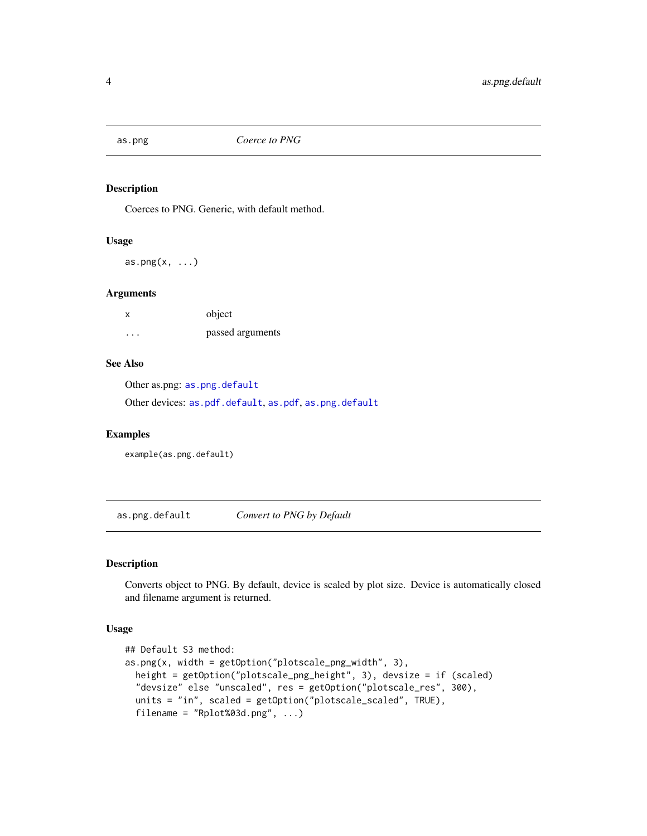<span id="page-3-2"></span><span id="page-3-0"></span>

#### Description

Coerces to PNG. Generic, with default method.

#### Usage

 $as.png(x, \ldots)$ 

# Arguments

| $\boldsymbol{\mathsf{x}}$ | object           |
|---------------------------|------------------|
| $\cdots$                  | passed arguments |

# See Also

Other as.png: [as.png.default](#page-3-1)

Other devices: [as.pdf.default](#page-2-1), [as.pdf](#page-1-1), [as.png.default](#page-3-1)

# Examples

example(as.png.default)

<span id="page-3-1"></span>as.png.default *Convert to PNG by Default*

# Description

Converts object to PNG. By default, device is scaled by plot size. Device is automatically closed and filename argument is returned.

#### Usage

```
## Default S3 method:
as.png(x, width = getOption("plotscale_png_width", 3),
  height = getOption("plotscale_png_height", 3), devsize = if (scaled)
  "devsize" else "unscaled", res = getOption("plotscale_res", 300),
  units = "in", scaled = getOption("plotscale_scaled", TRUE),
  filename = "Rplot%03d.png", ...)
```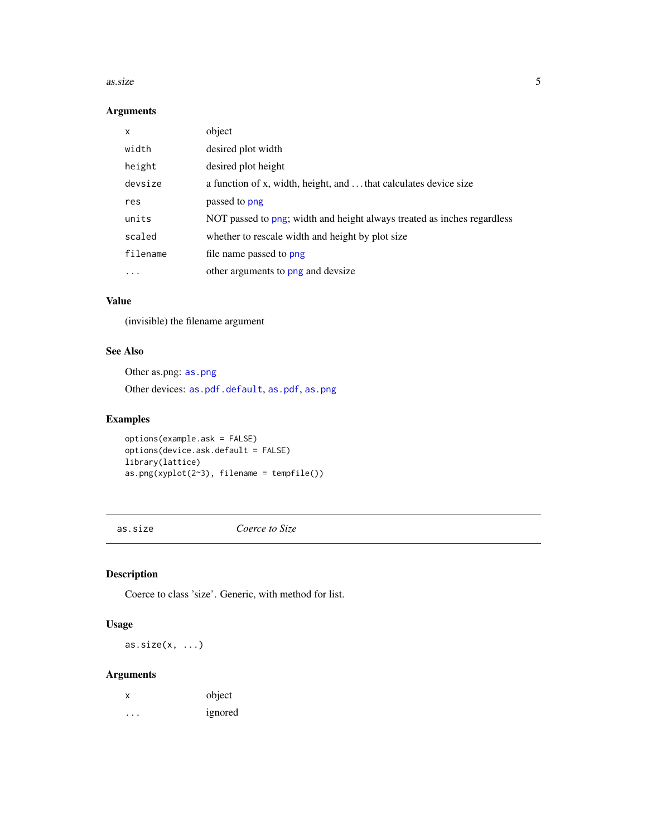#### <span id="page-4-0"></span>as.size 5

# Arguments

| x         | object                                                                  |
|-----------|-------------------------------------------------------------------------|
| width     | desired plot width                                                      |
| height    | desired plot height                                                     |
| devsize   | a function of x, width, height, and  that calculates device size        |
| res       | passed to png                                                           |
| units     | NOT passed to png; width and height always treated as inches regardless |
| scaled    | whether to rescale width and height by plot size                        |
| filename  | file name passed to png                                                 |
| $\ddotsc$ | other arguments to png and devsize                                      |

#### Value

(invisible) the filename argument

#### See Also

Other as.png: [as.png](#page-3-2)

Other devices: [as.pdf.default](#page-2-1), [as.pdf](#page-1-1), [as.png](#page-3-2)

# Examples

options(example.ask = FALSE) options(device.ask.default = FALSE) library(lattice) as.png(xyplot(2~3), filename = tempfile())

<span id="page-4-1"></span>as.size *Coerce to Size*

# Description

Coerce to class 'size'. Generic, with method for list.

# Usage

 $as.size(x, ...)$ 

| х | object  |
|---|---------|
| . | ignored |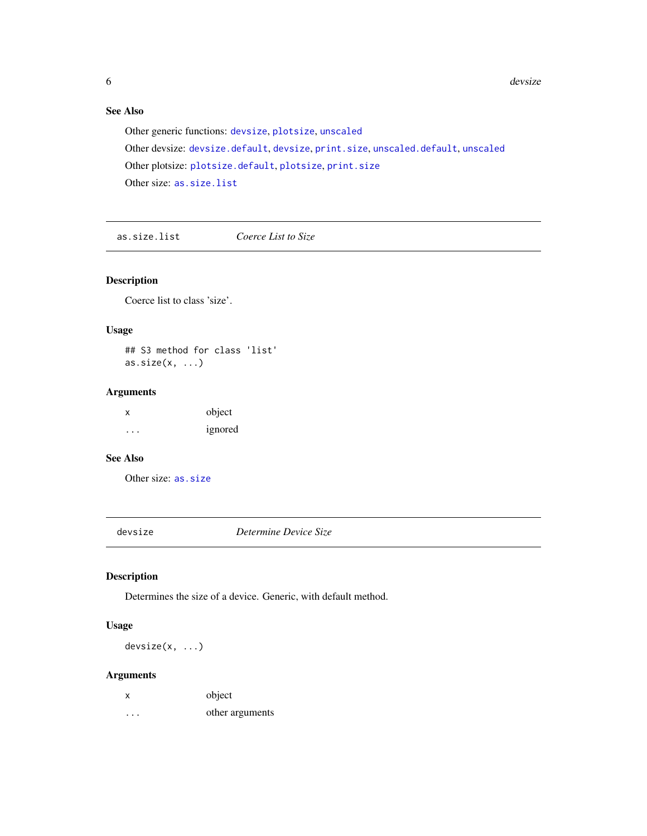# <span id="page-5-0"></span>See Also

Other generic functions: [devsize](#page-5-1), [plotsize](#page-7-1), [unscaled](#page-9-1) Other devsize: [devsize.default](#page-6-1), [devsize](#page-5-1), [print.size](#page-9-2), [unscaled.default](#page-10-1), [unscaled](#page-9-1) Other plotsize: [plotsize.default](#page-8-1), [plotsize](#page-7-1), [print.size](#page-9-2) Other size: [as.size.list](#page-5-2)

<span id="page-5-2"></span>as.size.list *Coerce List to Size*

# Description

Coerce list to class 'size'.

### Usage

## S3 method for class 'list'  $as.size(x, ...)$ 

#### Arguments

| $\mathsf{x}$ | object  |
|--------------|---------|
| $\cdots$     | ignored |

# See Also

Other size: [as.size](#page-4-1)

<span id="page-5-1"></span>devsize *Determine Device Size*

# Description

Determines the size of a device. Generic, with default method.

## Usage

devsize(x, ...)

| X       | object          |
|---------|-----------------|
| $\cdot$ | other arguments |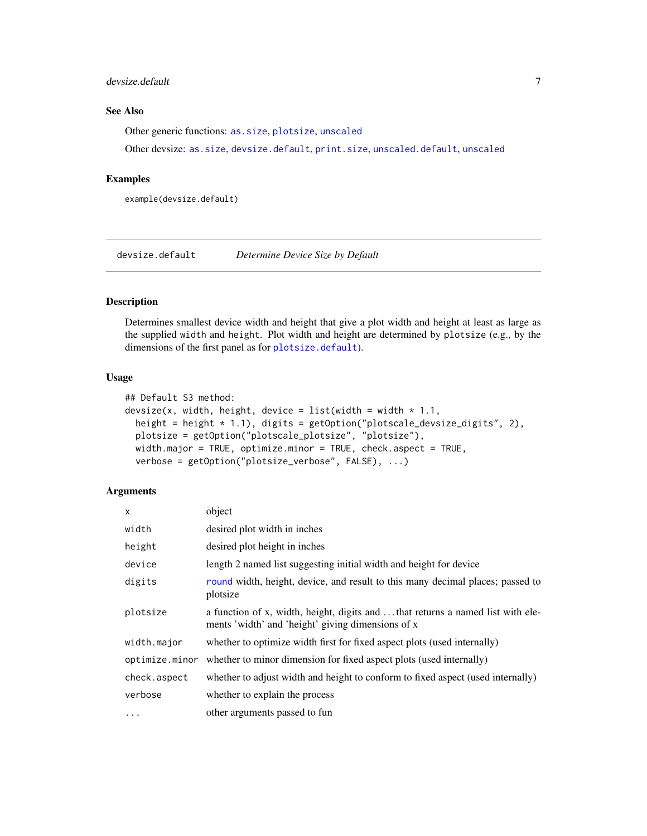### <span id="page-6-0"></span>devsize.default 7 7

# See Also

Other generic functions: [as.size](#page-4-1), [plotsize](#page-7-1), [unscaled](#page-9-1)

Other devsize: [as.size](#page-4-1), [devsize.default](#page-6-1), [print.size](#page-9-2), [unscaled.default](#page-10-1), [unscaled](#page-9-1)

#### Examples

example(devsize.default)

<span id="page-6-1"></span>devsize.default *Determine Device Size by Default*

# Description

Determines smallest device width and height that give a plot width and height at least as large as the supplied width and height. Plot width and height are determined by plotsize (e.g., by the dimensions of the first panel as for [plotsize.default](#page-8-1)).

#### Usage

```
## Default S3 method:
devsize(x, width, height, device = list(width = width * 1.1,
 height = height * 1.1), digits = getOption("plotscale_devsize_digits", 2),
 plotsize = getOption("plotscale_plotsize", "plotsize"),
 width.major = TRUE, optimize.minor = TRUE, check.aspect = TRUE,
 verbose = getOption("plotsize_verbose", FALSE), ...)
```

| $\times$       | object                                                                                                                              |
|----------------|-------------------------------------------------------------------------------------------------------------------------------------|
| width          | desired plot width in inches                                                                                                        |
| height         | desired plot height in inches                                                                                                       |
| device         | length 2 named list suggesting initial width and height for device                                                                  |
| digits         | round width, height, device, and result to this many decimal places; passed to<br>plotsize                                          |
| plotsize       | a function of x, width, height, digits and that returns a named list with ele-<br>ments 'width' and 'height' giving dimensions of x |
| width.major    | whether to optimize width first for fixed aspect plots (used internally)                                                            |
| optimize.minor | whether to minor dimension for fixed aspect plots (used internally)                                                                 |
| check.aspect   | whether to adjust width and height to conform to fixed aspect (used internally)                                                     |
| verbose        | whether to explain the process                                                                                                      |
| .              | other arguments passed to fun                                                                                                       |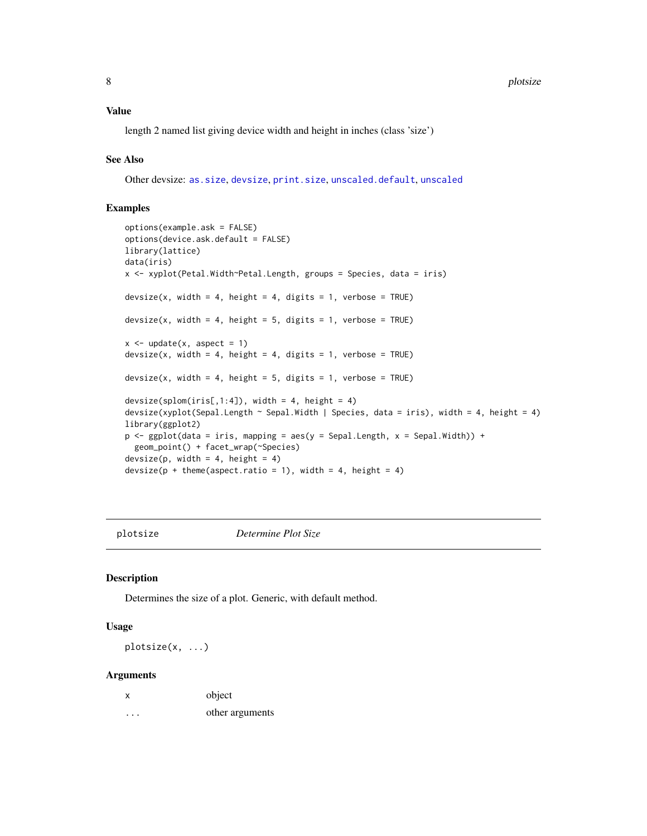<span id="page-7-0"></span>length 2 named list giving device width and height in inches (class 'size')

#### See Also

Other devsize: [as.size](#page-4-1), [devsize](#page-5-1), [print.size](#page-9-2), [unscaled.default](#page-10-1), [unscaled](#page-9-1)

# Examples

```
options(example.ask = FALSE)
options(device.ask.default = FALSE)
library(lattice)
data(iris)
x <- xyplot(Petal.Width~Petal.Length, groups = Species, data = iris)
devsize(x, width = 4, height = 4, digits = 1, verbose = TRUE)
devsize(x, width = 4, height = 5, digits = 1, verbose = TRUE)
x \le - update(x, aspect = 1)
devsize(x, width = 4, height = 4, digits = 1, verbose = TRUE)
devsize(x, width = 4, height = 5, digits = 1, verbose = TRUE)
devsize(splom(iris[,1:4]), width = 4, height = 4)
devsize(xyplot(Sepal.Length ~ Sepal.Width | Species, data = iris), width = 4, height = 4)
library(ggplot2)
p <- ggplot(data = iris, mapping = aes(y = Sepal.Length, x = Sepal.Width)) +
 geom_point() + facet_wrap(~Species)
devsize(p, width = 4, height = 4)
devsize(p + theme(aspect.ratio = 1), width = 4, height = 4)
```
<span id="page-7-1"></span>plotsize *Determine Plot Size*

#### Description

Determines the size of a plot. Generic, with default method.

#### Usage

plotsize(x, ...)

| x | object          |
|---|-----------------|
| . | other arguments |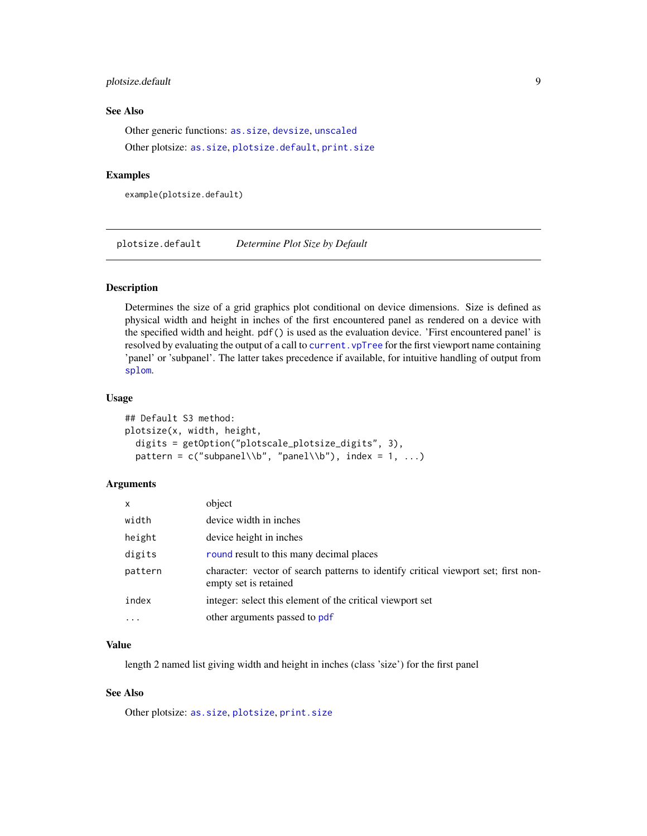#### <span id="page-8-0"></span>plotsize.default 9

#### See Also

Other generic functions: [as.size](#page-4-1), [devsize](#page-5-1), [unscaled](#page-9-1) Other plotsize: [as.size](#page-4-1), [plotsize.default](#page-8-1), [print.size](#page-9-2)

#### Examples

example(plotsize.default)

<span id="page-8-1"></span>plotsize.default *Determine Plot Size by Default*

# Description

Determines the size of a grid graphics plot conditional on device dimensions. Size is defined as physical width and height in inches of the first encountered panel as rendered on a device with the specified width and height. pdf() is used as the evaluation device. 'First encountered panel' is resolved by evaluating the output of a call to current. vpTree for the first viewport name containing 'panel' or 'subpanel'. The latter takes precedence if available, for intuitive handling of output from [splom](#page-0-0).

#### Usage

```
## Default S3 method:
plotsize(x, width, height,
  digits = getOption("plotscale_plotsize_digits", 3),
 pattern = c("subpanel\\b", "panel\\b"), index = 1, ...)
```
#### Arguments

| $\mathsf{x}$ | object                                                                                                      |
|--------------|-------------------------------------------------------------------------------------------------------------|
| width        | device width in inches                                                                                      |
| height       | device height in inches                                                                                     |
| digits       | round result to this many decimal places                                                                    |
| pattern      | character: vector of search patterns to identify critical viewport set; first non-<br>empty set is retained |
| index        | integer: select this element of the critical viewport set                                                   |
| $\ddots$ .   | other arguments passed to pdf                                                                               |

#### Value

length 2 named list giving width and height in inches (class 'size') for the first panel

# See Also

Other plotsize: [as.size](#page-4-1), [plotsize](#page-7-1), [print.size](#page-9-2)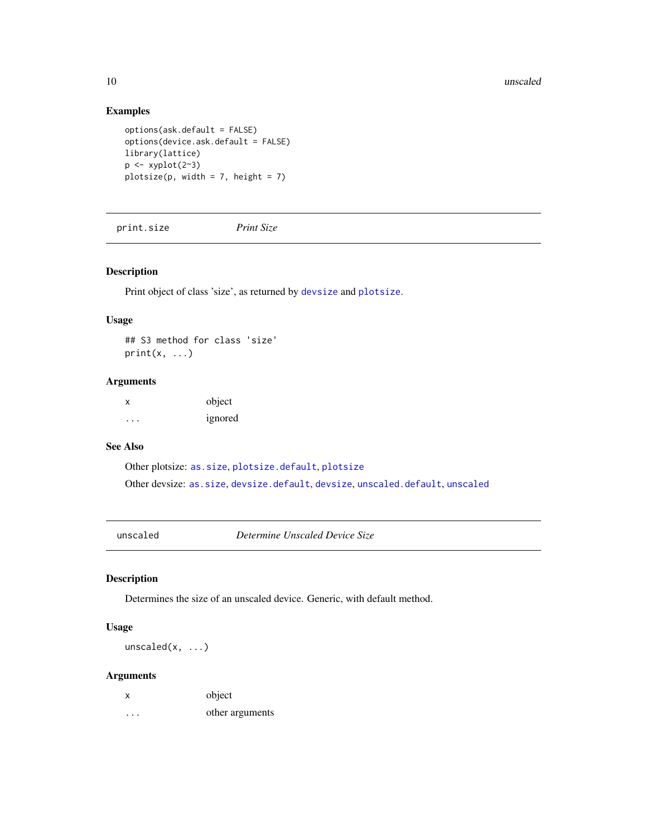#### <span id="page-9-0"></span>10 unscaled the contract of the contract of the contract of the contract of the contract of the contract of the contract of the contract of the contract of the contract of the contract of the contract of the contract of th

# Examples

```
options(ask.default = FALSE)
options(device.ask.default = FALSE)
library(lattice)
p \leftarrow xyplot(2^3)plotsize(p, width = 7, height = 7)
```
<span id="page-9-2"></span>print.size *Print Size*

# Description

Print object of class 'size', as returned by [devsize](#page-5-1) and [plotsize](#page-7-1).

#### Usage

## S3 method for class 'size'  $print(x, \ldots)$ 

#### Arguments

x object ... ignored

# See Also

Other plotsize: [as.size](#page-4-1), [plotsize.default](#page-8-1), [plotsize](#page-7-1) Other devsize: [as.size](#page-4-1), [devsize.default](#page-6-1), [devsize](#page-5-1), [unscaled.default](#page-10-1), [unscaled](#page-9-1)

<span id="page-9-1"></span>unscaled *Determine Unscaled Device Size*

# Description

Determines the size of an unscaled device. Generic, with default method.

# Usage

unscaled(x, ...)

| X | object          |
|---|-----------------|
| . | other arguments |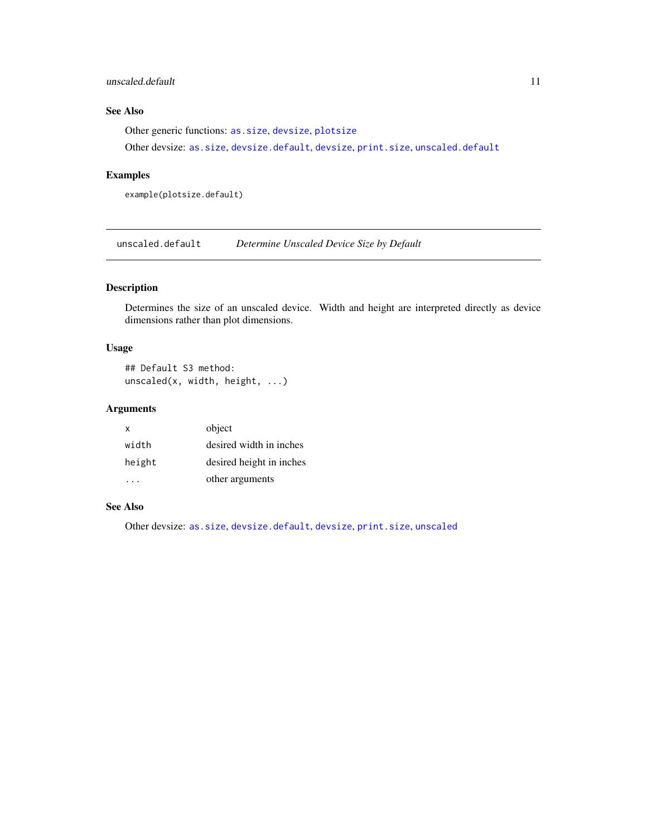#### <span id="page-10-0"></span>unscaled.default 11

# See Also

Other generic functions: [as.size](#page-4-1), [devsize](#page-5-1), [plotsize](#page-7-1)

Other devsize: [as.size](#page-4-1), [devsize.default](#page-6-1), [devsize](#page-5-1), [print.size](#page-9-2), [unscaled.default](#page-10-1)

### Examples

example(plotsize.default)

<span id="page-10-1"></span>unscaled.default *Determine Unscaled Device Size by Default*

# Description

Determines the size of an unscaled device. Width and height are interpreted directly as device dimensions rather than plot dimensions.

# Usage

## Default S3 method: unscaled(x, width, height, ...)

# Arguments

| x      | object                   |
|--------|--------------------------|
| width  | desired width in inches  |
| height | desired height in inches |
|        | other arguments          |

#### See Also

Other devsize: [as.size](#page-4-1), [devsize.default](#page-6-1), [devsize](#page-5-1), [print.size](#page-9-2), [unscaled](#page-9-1)